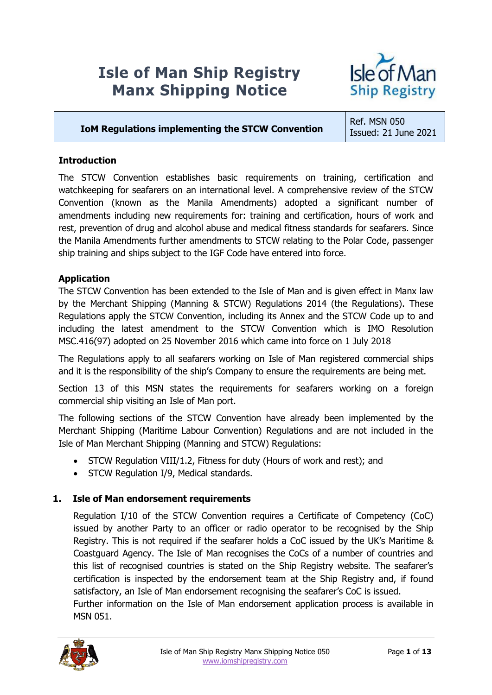# **Isle of Man Ship Registry Manx Shipping Notice**



# **IoM Regulations implementing the STCW Convention**

Ref. MSN 050 Issued: 21 June 2021

# **Introduction**

The STCW Convention establishes basic requirements on training, certification and watchkeeping for seafarers on an international level. A comprehensive review of the STCW Convention (known as the Manila Amendments) adopted a significant number of amendments including new requirements for: training and certification, hours of work and rest, prevention of drug and alcohol abuse and medical fitness standards for seafarers. Since the Manila Amendments further amendments to STCW relating to the Polar Code, passenger ship training and ships subject to the IGF Code have entered into force.

# **Application**

The STCW Convention has been extended to the Isle of Man and is given effect in Manx law by the Merchant Shipping (Manning & STCW) Regulations 2014 (the Regulations). These Regulations apply the STCW Convention, including its Annex and the STCW Code up to and including the latest amendment to the STCW Convention which is IMO Resolution MSC.416(97) adopted on 25 November 2016 which came into force on 1 July 2018

The Regulations apply to all seafarers working on Isle of Man registered commercial ships and it is the responsibility of the ship's Company to ensure the requirements are being met.

Section 13 of this MSN states the requirements for seafarers working on a foreign commercial ship visiting an Isle of Man port.

The following sections of the STCW Convention have already been implemented by the Merchant Shipping (Maritime Labour Convention) Regulations and are not included in the Isle of Man Merchant Shipping (Manning and STCW) Regulations:

- STCW Regulation VIII/1.2, Fitness for duty (Hours of work and rest); and
- STCW Regulation I/9, Medical standards.

# **1. Isle of Man endorsement requirements**

Regulation I/10 of the STCW Convention requires a Certificate of Competency (CoC) issued by another Party to an officer or radio operator to be recognised by the Ship Registry. This is not required if the seafarer holds a CoC issued by the UK's Maritime & Coastguard Agency. The Isle of Man recognises the CoCs of a number of countries and this list of recognised countries is stated on the Ship Registry website. The seafarer's certification is inspected by the endorsement team at the Ship Registry and, if found satisfactory, an Isle of Man endorsement recognising the seafarer's CoC is issued. Further information on the Isle of Man endorsement application process is available in



MSN 051.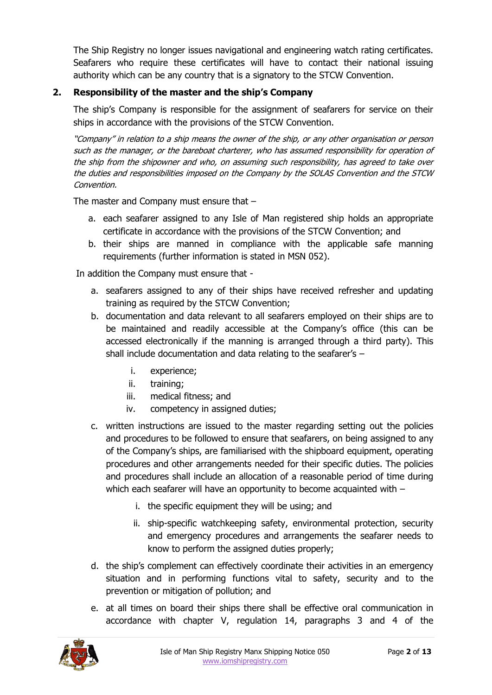The Ship Registry no longer issues navigational and engineering watch rating certificates. Seafarers who require these certificates will have to contact their national issuing authority which can be any country that is a signatory to the STCW Convention.

# **2. Responsibility of the master and the ship's Company**

The ship's Company is responsible for the assignment of seafarers for service on their ships in accordance with the provisions of the STCW Convention.

"Company" in relation to a ship means the owner of the ship, or any other organisation or person such as the manager, or the bareboat charterer, who has assumed responsibility for operation of the ship from the shipowner and who, on assuming such responsibility, has agreed to take over the duties and responsibilities imposed on the Company by the SOLAS Convention and the STCW Convention.

The master and Company must ensure that –

- a. each seafarer assigned to any Isle of Man registered ship holds an appropriate certificate in accordance with the provisions of the STCW Convention; and
- b. their ships are manned in compliance with the applicable safe manning requirements (further information is stated in MSN 052).

In addition the Company must ensure that -

- a. seafarers assigned to any of their ships have received refresher and updating training as required by the STCW Convention;
- b. documentation and data relevant to all seafarers employed on their ships are to be maintained and readily accessible at the Company's office (this can be accessed electronically if the manning is arranged through a third party). This shall include documentation and data relating to the seafarer's –
	- i. experience;
	- ii. training;
	- iii. medical fitness; and
	- iv. competency in assigned duties;
- c. written instructions are issued to the master regarding setting out the policies and procedures to be followed to ensure that seafarers, on being assigned to any of the Company's ships, are familiarised with the shipboard equipment, operating procedures and other arrangements needed for their specific duties. The policies and procedures shall include an allocation of a reasonable period of time during which each seafarer will have an opportunity to become acquainted with –
	- i. the specific equipment they will be using; and
	- ii. ship-specific watchkeeping safety, environmental protection, security and emergency procedures and arrangements the seafarer needs to know to perform the assigned duties properly;
- d. the ship's complement can effectively coordinate their activities in an emergency situation and in performing functions vital to safety, security and to the prevention or mitigation of pollution; and
- e. at all times on board their ships there shall be effective oral communication in accordance with chapter V, regulation 14, paragraphs 3 and 4 of the

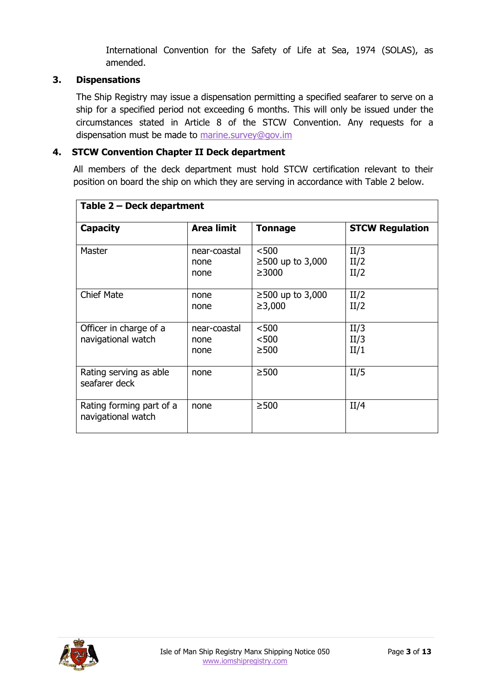International Convention for the Safety of Life at Sea, 1974 (SOLAS), as amended.

### **3. Dispensations**

The Ship Registry may issue a dispensation permitting a specified seafarer to serve on a ship for a specified period not exceeding 6 months. This will only be issued under the circumstances stated in Article 8 of the STCW Convention. Any requests for a dispensation must be made to [marine.survey@gov.im](mailto:marine.survey@gov.im)

# **4. STCW Convention Chapter II Deck department**

All members of the deck department must hold STCW certification relevant to their position on board the ship on which they are serving in accordance with Table 2 below.

| Table 2 – Deck department                      |                              |                                            |                        |  |
|------------------------------------------------|------------------------------|--------------------------------------------|------------------------|--|
| <b>Capacity</b>                                | <b>Area limit</b>            | <b>Tonnage</b>                             | <b>STCW Regulation</b> |  |
| Master                                         | near-coastal<br>none<br>none | $500$<br>$≥500$ up to 3,000<br>$\geq 3000$ | II/3<br>II/2<br>II/2   |  |
| <b>Chief Mate</b>                              | none<br>none                 | $≥500$ up to 3,000<br>≥3,000               | II/2<br>II/2           |  |
| Officer in charge of a<br>navigational watch   | near-coastal<br>none<br>none | < 500<br>< 500<br>$\geq$ 500               | II/3<br>II/3<br>II/1   |  |
| Rating serving as able<br>seafarer deck        | none                         | $\geq$ 500                                 | II/5                   |  |
| Rating forming part of a<br>navigational watch | none                         | $\geq$ 500                                 | II/4                   |  |

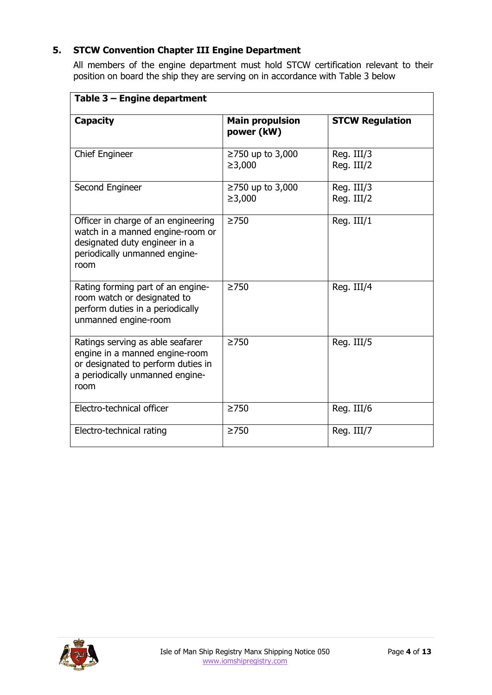# **5. STCW Convention Chapter III Engine Department**

All members of the engine department must hold STCW certification relevant to their position on board the ship they are serving on in accordance with Table 3 below

| Table 3 - Engine department                                                                                                                         |                                      |                          |  |  |
|-----------------------------------------------------------------------------------------------------------------------------------------------------|--------------------------------------|--------------------------|--|--|
| <b>Capacity</b>                                                                                                                                     | <b>Main propulsion</b><br>power (kW) | <b>STCW Regulation</b>   |  |  |
| <b>Chief Engineer</b>                                                                                                                               | ≥750 up to 3,000<br>≥3,000           | Reg. III/3<br>Reg. III/2 |  |  |
| Second Engineer                                                                                                                                     | ≥750 up to 3,000<br>≥3,000           | Reg. III/3<br>Reg. III/2 |  |  |
| Officer in charge of an engineering<br>watch in a manned engine-room or<br>designated duty engineer in a<br>periodically unmanned engine-<br>room   | $\geq$ 750                           | Reg. III/1               |  |  |
| Rating forming part of an engine-<br>room watch or designated to<br>perform duties in a periodically<br>unmanned engine-room                        | $\geq$ 750                           | Reg. III/4               |  |  |
| Ratings serving as able seafarer<br>engine in a manned engine-room<br>or designated to perform duties in<br>a periodically unmanned engine-<br>room | $\geq$ 750                           | Reg. III/5               |  |  |
| Electro-technical officer                                                                                                                           | $\geq$ 750                           | Reg. III/6               |  |  |
| Electro-technical rating                                                                                                                            | $\geq$ 750                           | Reg. III/7               |  |  |

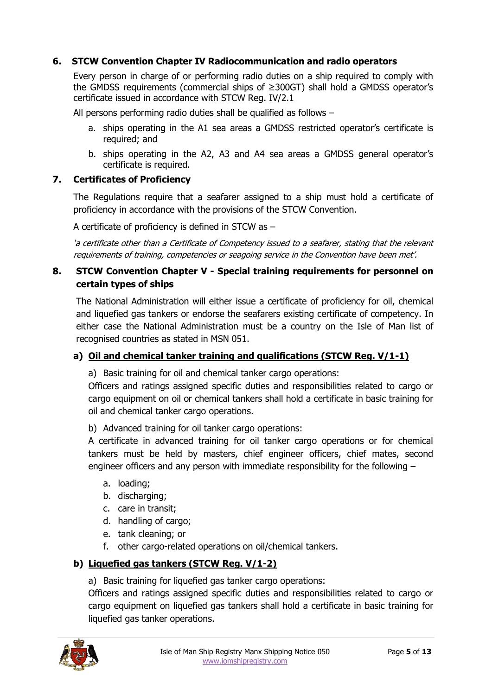# **6. STCW Convention Chapter IV Radiocommunication and radio operators**

Every person in charge of or performing radio duties on a ship required to comply with the GMDSS requirements (commercial ships of ≥300GT) shall hold a GMDSS operator's certificate issued in accordance with STCW Reg. IV/2.1

All persons performing radio duties shall be qualified as follows –

- a. ships operating in the A1 sea areas a GMDSS restricted operator's certificate is required; and
- b. ships operating in the A2, A3 and A4 sea areas a GMDSS general operator's certificate is required.

#### **7. Certificates of Proficiency**

The Regulations require that a seafarer assigned to a ship must hold a certificate of proficiency in accordance with the provisions of the STCW Convention.

A certificate of proficiency is defined in STCW as –

'a certificate other than a Certificate of Competency issued to a seafarer, stating that the relevant requirements of training, competencies or seagoing service in the Convention have been met'.

### **8. STCW Convention Chapter V - Special training requirements for personnel on certain types of ships**

The National Administration will either issue a certificate of proficiency for oil, chemical and liquefied gas tankers or endorse the seafarers existing certificate of competency. In either case the National Administration must be a country on the Isle of Man list of recognised countries as stated in MSN 051.

#### **a) Oil and chemical tanker training and qualifications (STCW Reg. V/1-1)**

a) Basic training for oil and chemical tanker cargo operations:

Officers and ratings assigned specific duties and responsibilities related to cargo or cargo equipment on oil or chemical tankers shall hold a certificate in basic training for oil and chemical tanker cargo operations.

b) Advanced training for oil tanker cargo operations:

A certificate in advanced training for oil tanker cargo operations or for chemical tankers must be held by masters, chief engineer officers, chief mates, second engineer officers and any person with immediate responsibility for the following –

- a. loading;
- b. discharging;
- c. care in transit;
- d. handling of cargo;
- e. tank cleaning; or
- f. other cargo-related operations on oil/chemical tankers.

#### **b) Liquefied gas tankers (STCW Reg. V/1-2)**

a) Basic training for liquefied gas tanker cargo operations:

Officers and ratings assigned specific duties and responsibilities related to cargo or cargo equipment on liquefied gas tankers shall hold a certificate in basic training for liquefied gas tanker operations.

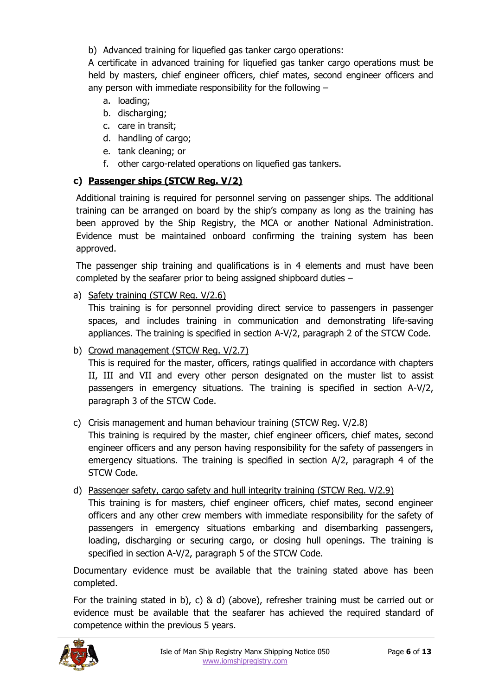b) Advanced training for liquefied gas tanker cargo operations:

A certificate in advanced training for liquefied gas tanker cargo operations must be held by masters, chief engineer officers, chief mates, second engineer officers and any person with immediate responsibility for the following –

- a. loading;
- b. discharging;
- c. care in transit;
- d. handling of cargo;
- e. tank cleaning; or
- f. other cargo-related operations on liquefied gas tankers.

# **c) Passenger ships (STCW Reg. V/2)**

Additional training is required for personnel serving on passenger ships. The additional training can be arranged on board by the ship's company as long as the training has been approved by the Ship Registry, the MCA or another National Administration. Evidence must be maintained onboard confirming the training system has been approved.

The passenger ship training and qualifications is in 4 elements and must have been completed by the seafarer prior to being assigned shipboard duties –

a) Safety training (STCW Reg. V/2.6)

This training is for personnel providing direct service to passengers in passenger spaces, and includes training in communication and demonstrating life-saving appliances. The training is specified in section A-V/2, paragraph 2 of the STCW Code.

b) Crowd management (STCW Reg. V/2.7)

This is required for the master, officers, ratings qualified in accordance with chapters II, III and VII and every other person designated on the muster list to assist passengers in emergency situations. The training is specified in section A-V/2, paragraph 3 of the STCW Code.

# c) Crisis management and human behaviour training (STCW Reg. V/2.8)

This training is required by the master, chief engineer officers, chief mates, second engineer officers and any person having responsibility for the safety of passengers in emergency situations. The training is specified in section A/2, paragraph 4 of the STCW Code.

d) Passenger safety, cargo safety and hull integrity training (STCW Reg. V/2.9) This training is for masters, chief engineer officers, chief mates, second engineer officers and any other crew members with immediate responsibility for the safety of passengers in emergency situations embarking and disembarking passengers, loading, discharging or securing cargo, or closing hull openings. The training is specified in section A-V/2, paragraph 5 of the STCW Code.

Documentary evidence must be available that the training stated above has been completed.

For the training stated in b), c) & d) (above), refresher training must be carried out or evidence must be available that the seafarer has achieved the required standard of competence within the previous 5 years.

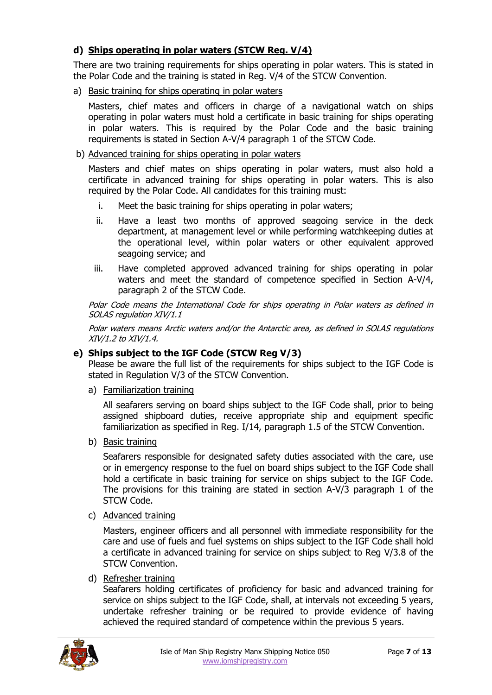# **d) Ships operating in polar waters (STCW Reg. V/4)**

There are two training requirements for ships operating in polar waters. This is stated in the Polar Code and the training is stated in Reg. V/4 of the STCW Convention.

#### a) Basic training for ships operating in polar waters

Masters, chief mates and officers in charge of a navigational watch on ships operating in polar waters must hold a certificate in basic training for ships operating in polar waters. This is required by the Polar Code and the basic training requirements is stated in Section A-V/4 paragraph 1 of the STCW Code.

#### b) Advanced training for ships operating in polar waters

Masters and chief mates on ships operating in polar waters, must also hold a certificate in advanced training for ships operating in polar waters. This is also required by the Polar Code. All candidates for this training must:

- i. Meet the basic training for ships operating in polar waters;
- ii. Have a least two months of approved seagoing service in the deck department, at management level or while performing watchkeeping duties at the operational level, within polar waters or other equivalent approved seagoing service; and
- iii. Have completed approved advanced training for ships operating in polar waters and meet the standard of competence specified in Section A-V/4, paragraph 2 of the STCW Code.

Polar Code means the International Code for ships operating in Polar waters as defined in SOLAS regulation XIV/1.1

Polar waters means Arctic waters and/or the Antarctic area, as defined in SOLAS regulations XIV/1.2 to XIV/1.4.

#### **e) Ships subject to the IGF Code (STCW Reg V/3)**

Please be aware the full list of the requirements for ships subject to the IGF Code is stated in Regulation V/3 of the STCW Convention.

a) Familiarization training

All seafarers serving on board ships subject to the IGF Code shall, prior to being assigned shipboard duties, receive appropriate ship and equipment specific familiarization as specified in Reg. I/14, paragraph 1.5 of the STCW Convention.

b) Basic training

Seafarers responsible for designated safety duties associated with the care, use or in emergency response to the fuel on board ships subject to the IGF Code shall hold a certificate in basic training for service on ships subject to the IGF Code. The provisions for this training are stated in section A-V/3 paragraph 1 of the STCW Code.

c) Advanced training

Masters, engineer officers and all personnel with immediate responsibility for the care and use of fuels and fuel systems on ships subject to the IGF Code shall hold a certificate in advanced training for service on ships subject to Reg V/3.8 of the STCW Convention.

#### d) Refresher training

Seafarers holding certificates of proficiency for basic and advanced training for service on ships subject to the IGF Code, shall, at intervals not exceeding 5 years, undertake refresher training or be required to provide evidence of having achieved the required standard of competence within the previous 5 years.

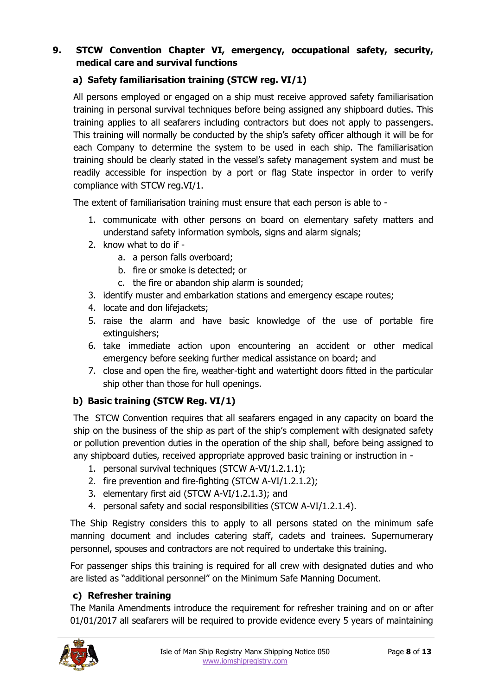# **9. STCW Convention Chapter VI, emergency, occupational safety, security, medical care and survival functions**

# **a) Safety familiarisation training (STCW reg. VI/1)**

All persons employed or engaged on a ship must receive approved safety familiarisation training in personal survival techniques before being assigned any shipboard duties. This training applies to all seafarers including contractors but does not apply to passengers. This training will normally be conducted by the ship's safety officer although it will be for each Company to determine the system to be used in each ship. The familiarisation training should be clearly stated in the vessel's safety management system and must be readily accessible for inspection by a port or flag State inspector in order to verify compliance with STCW reg.VI/1.

The extent of familiarisation training must ensure that each person is able to -

- 1. communicate with other persons on board on elementary safety matters and understand safety information symbols, signs and alarm signals;
- 2. know what to do if
	- a. a person falls overboard;
	- b. fire or smoke is detected; or
	- c. the fire or abandon ship alarm is sounded;
- 3. identify muster and embarkation stations and emergency escape routes;
- 4. locate and don lifejackets;
- 5. raise the alarm and have basic knowledge of the use of portable fire extinguishers;
- 6. take immediate action upon encountering an accident or other medical emergency before seeking further medical assistance on board; and
- 7. close and open the fire, weather-tight and watertight doors fitted in the particular ship other than those for hull openings.

# **b) Basic training (STCW Reg. VI/1)**

The STCW Convention requires that all seafarers engaged in any capacity on board the ship on the business of the ship as part of the ship's complement with designated safety or pollution prevention duties in the operation of the ship shall, before being assigned to any shipboard duties, received appropriate approved basic training or instruction in -

- 1. personal survival techniques (STCW A-VI/1.2.1.1);
- 2. fire prevention and fire-fighting (STCW A-VI/1.2.1.2);
- 3. elementary first aid (STCW A-VI/1.2.1.3); and
- 4. personal safety and social responsibilities (STCW A-VI/1.2.1.4).

The Ship Registry considers this to apply to all persons stated on the minimum safe manning document and includes catering staff, cadets and trainees. Supernumerary personnel, spouses and contractors are not required to undertake this training.

For passenger ships this training is required for all crew with designated duties and who are listed as "additional personnel" on the Minimum Safe Manning Document.

#### **c) Refresher training**

The Manila Amendments introduce the requirement for refresher training and on or after 01/01/2017 all seafarers will be required to provide evidence every 5 years of maintaining

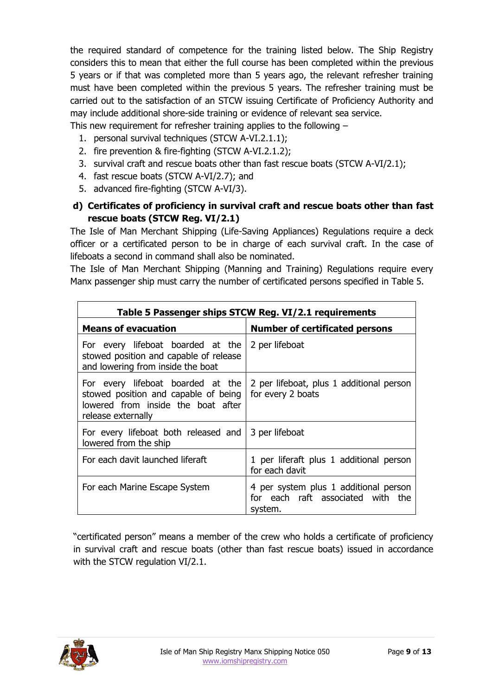the required standard of competence for the training listed below. The Ship Registry considers this to mean that either the full course has been completed within the previous 5 years or if that was completed more than 5 years ago, the relevant refresher training must have been completed within the previous 5 years. The refresher training must be carried out to the satisfaction of an STCW issuing Certificate of Proficiency Authority and may include additional shore-side training or evidence of relevant sea service.

This new requirement for refresher training applies to the following –

- 1. personal survival techniques (STCW A-VI.2.1.1);
- 2. fire prevention & fire-fighting (STCW A-VI.2.1.2);
- 3. survival craft and rescue boats other than fast rescue boats (STCW A-VI/2.1);
- 4. fast rescue boats (STCW A-VI/2.7); and
- 5. advanced fire-fighting (STCW A-VI/3).

# **d) Certificates of proficiency in survival craft and rescue boats other than fast rescue boats (STCW Reg. VI/2.1)**

The Isle of Man Merchant Shipping (Life-Saving Appliances) Regulations require a deck officer or a certificated person to be in charge of each survival craft. In the case of lifeboats a second in command shall also be nominated.

The Isle of Man Merchant Shipping (Manning and Training) Regulations require every Manx passenger ship must carry the number of certificated persons specified in Table 5.

| Table 5 Passenger ships STCW Reg. VI/2.1 requirements                                                                                 |                                                                                       |  |  |  |
|---------------------------------------------------------------------------------------------------------------------------------------|---------------------------------------------------------------------------------------|--|--|--|
| <b>Means of evacuation</b>                                                                                                            | <b>Number of certificated persons</b>                                                 |  |  |  |
| For every lifeboat boarded at the<br>stowed position and capable of release<br>and lowering from inside the boat                      | 2 per lifeboat                                                                        |  |  |  |
| For every lifeboat boarded at the<br>stowed position and capable of being<br>lowered from inside the boat after<br>release externally | 2 per lifeboat, plus 1 additional person<br>for every 2 boats                         |  |  |  |
| For every lifeboat both released and<br>lowered from the ship                                                                         | 3 per lifeboat                                                                        |  |  |  |
| For each davit launched liferaft                                                                                                      | 1 per liferaft plus 1 additional person<br>for each davit                             |  |  |  |
| For each Marine Escape System                                                                                                         | 4 per system plus 1 additional person<br>for each raft associated with the<br>system. |  |  |  |

"certificated person" means a member of the crew who holds a certificate of proficiency in survival craft and rescue boats (other than fast rescue boats) issued in accordance with the STCW regulation VI/2.1.

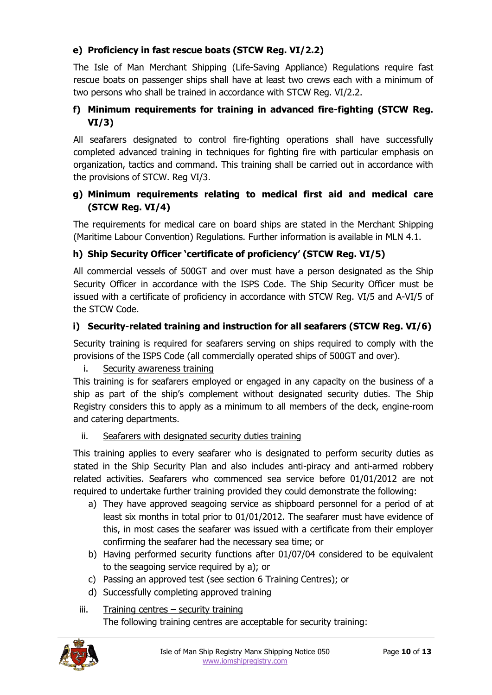# **e) Proficiency in fast rescue boats (STCW Reg. VI/2.2)**

The Isle of Man Merchant Shipping (Life-Saving Appliance) Regulations require fast rescue boats on passenger ships shall have at least two crews each with a minimum of two persons who shall be trained in accordance with STCW Reg. VI/2.2.

# **f) Minimum requirements for training in advanced fire-fighting (STCW Reg. VI/3)**

All seafarers designated to control fire-fighting operations shall have successfully completed advanced training in techniques for fighting fire with particular emphasis on organization, tactics and command. This training shall be carried out in accordance with the provisions of STCW. Reg VI/3.

# **g) Minimum requirements relating to medical first aid and medical care (STCW Reg. VI/4)**

The requirements for medical care on board ships are stated in the Merchant Shipping (Maritime Labour Convention) Regulations. Further information is available in MLN 4.1.

# **h) Ship Security Officer 'certificate of proficiency' (STCW Reg. VI/5)**

All commercial vessels of 500GT and over must have a person designated as the Ship Security Officer in accordance with the ISPS Code. The Ship Security Officer must be issued with a certificate of proficiency in accordance with STCW Reg. VI/5 and A-VI/5 of the STCW Code.

# **i) Security-related training and instruction for all seafarers (STCW Reg. VI/6)**

Security training is required for seafarers serving on ships required to comply with the provisions of the ISPS Code (all commercially operated ships of 500GT and over).

# i. Security awareness training

This training is for seafarers employed or engaged in any capacity on the business of a ship as part of the ship's complement without designated security duties. The Ship Registry considers this to apply as a minimum to all members of the deck, engine-room and catering departments.

# ii. Seafarers with designated security duties training

This training applies to every seafarer who is designated to perform security duties as stated in the Ship Security Plan and also includes anti-piracy and anti-armed robbery related activities. Seafarers who commenced sea service before 01/01/2012 are not required to undertake further training provided they could demonstrate the following:

- a) They have approved seagoing service as shipboard personnel for a period of at least six months in total prior to 01/01/2012. The seafarer must have evidence of this, in most cases the seafarer was issued with a certificate from their employer confirming the seafarer had the necessary sea time; or
- b) Having performed security functions after 01/07/04 considered to be equivalent to the seagoing service required by a); or
- c) Passing an approved test (see section 6 Training Centres); or
- d) Successfully completing approved training
- iii. Training centres security training The following training centres are acceptable for security training:

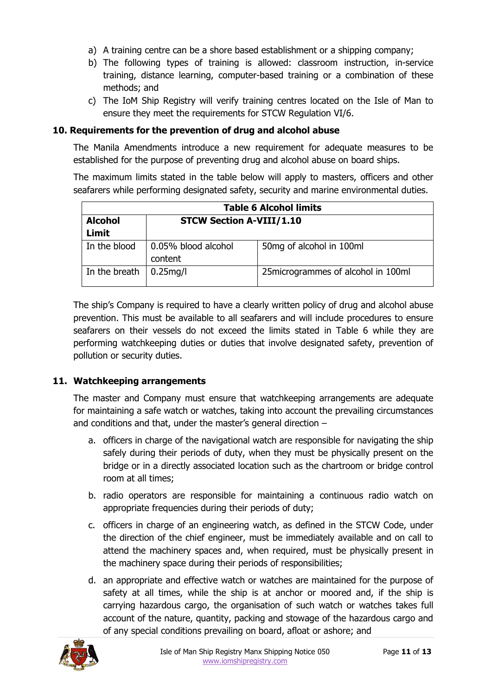- a) A training centre can be a shore based establishment or a shipping company;
- b) The following types of training is allowed: classroom instruction, in-service training, distance learning, computer-based training or a combination of these methods; and
- c) The IoM Ship Registry will verify training centres located on the Isle of Man to ensure they meet the requirements for STCW Regulation VI/6.

#### **10. Requirements for the prevention of drug and alcohol abuse**

The Manila Amendments introduce a new requirement for adequate measures to be established for the purpose of preventing drug and alcohol abuse on board ships.

The maximum limits stated in the table below will apply to masters, officers and other seafarers while performing designated safety, security and marine environmental duties.

| <b>Table 6 Alcohol limits</b> |                                 |                                      |  |  |
|-------------------------------|---------------------------------|--------------------------------------|--|--|
| <b>Alcohol</b>                | <b>STCW Section A-VIII/1.10</b> |                                      |  |  |
| Limit                         |                                 |                                      |  |  |
| In the blood                  | 0.05% blood alcohol             | 50mg of alcohol in 100ml             |  |  |
|                               | content                         |                                      |  |  |
| In the breath                 | $0.25$ mg/l                     | 25 microgrammes of alcohol in 100 ml |  |  |

The ship's Company is required to have a clearly written policy of drug and alcohol abuse prevention. This must be available to all seafarers and will include procedures to ensure seafarers on their vessels do not exceed the limits stated in Table 6 while they are performing watchkeeping duties or duties that involve designated safety, prevention of pollution or security duties.

#### **11. Watchkeeping arrangements**

The master and Company must ensure that watchkeeping arrangements are adequate for maintaining a safe watch or watches, taking into account the prevailing circumstances and conditions and that, under the master's general direction –

- a. officers in charge of the navigational watch are responsible for navigating the ship safely during their periods of duty, when they must be physically present on the bridge or in a directly associated location such as the chartroom or bridge control room at all times;
- b. radio operators are responsible for maintaining a continuous radio watch on appropriate frequencies during their periods of duty;
- c. officers in charge of an engineering watch, as defined in the STCW Code, under the direction of the chief engineer, must be immediately available and on call to attend the machinery spaces and, when required, must be physically present in the machinery space during their periods of responsibilities;
- d. an appropriate and effective watch or watches are maintained for the purpose of safety at all times, while the ship is at anchor or moored and, if the ship is carrying hazardous cargo, the organisation of such watch or watches takes full account of the nature, quantity, packing and stowage of the hazardous cargo and of any special conditions prevailing on board, afloat or ashore; and

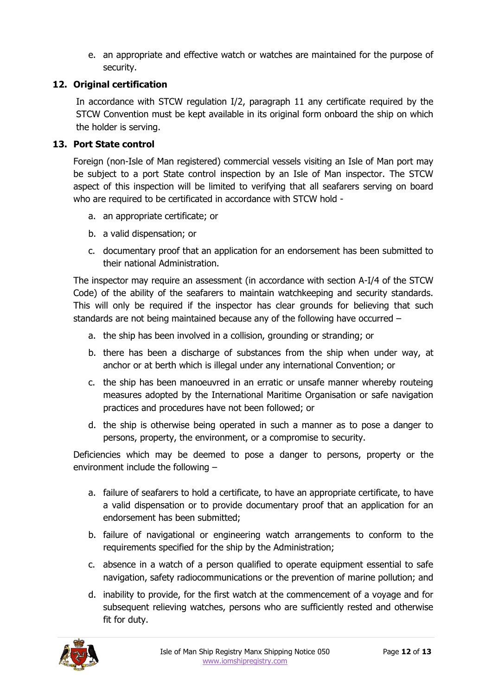e. an appropriate and effective watch or watches are maintained for the purpose of security.

# **12. Original certification**

In accordance with STCW regulation I/2, paragraph 11 any certificate required by the STCW Convention must be kept available in its original form onboard the ship on which the holder is serving.

# **13. Port State control**

Foreign (non-Isle of Man registered) commercial vessels visiting an Isle of Man port may be subject to a port State control inspection by an Isle of Man inspector. The STCW aspect of this inspection will be limited to verifying that all seafarers serving on board who are required to be certificated in accordance with STCW hold -

- a. an appropriate certificate; or
- b. a valid dispensation; or
- c. documentary proof that an application for an endorsement has been submitted to their national Administration.

The inspector may require an assessment (in accordance with section A-I/4 of the STCW Code) of the ability of the seafarers to maintain watchkeeping and security standards. This will only be required if the inspector has clear grounds for believing that such standards are not being maintained because any of the following have occurred –

- a. the ship has been involved in a collision, grounding or stranding; or
- b. there has been a discharge of substances from the ship when under way, at anchor or at berth which is illegal under any international Convention; or
- c. the ship has been manoeuvred in an erratic or unsafe manner whereby routeing measures adopted by the International Maritime Organisation or safe navigation practices and procedures have not been followed; or
- d. the ship is otherwise being operated in such a manner as to pose a danger to persons, property, the environment, or a compromise to security.

Deficiencies which may be deemed to pose a danger to persons, property or the environment include the following –

- a. failure of seafarers to hold a certificate, to have an appropriate certificate, to have a valid dispensation or to provide documentary proof that an application for an endorsement has been submitted;
- b. failure of navigational or engineering watch arrangements to conform to the requirements specified for the ship by the Administration;
- c. absence in a watch of a person qualified to operate equipment essential to safe navigation, safety radiocommunications or the prevention of marine pollution; and
- d. inability to provide, for the first watch at the commencement of a voyage and for subsequent relieving watches, persons who are sufficiently rested and otherwise fit for duty.